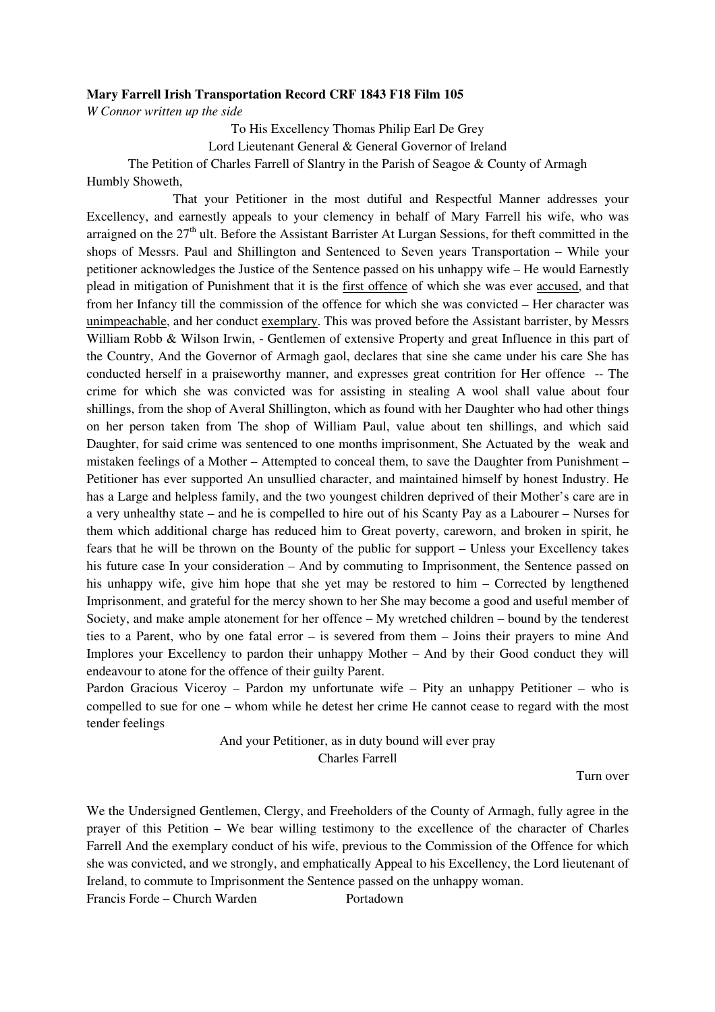#### **Mary Farrell Irish Transportation Record CRF 1843 F18 Film 105**

*W Connor written up the side* 

To His Excellency Thomas Philip Earl De Grey

Lord Lieutenant General & General Governor of Ireland

The Petition of Charles Farrell of Slantry in the Parish of Seagoe & County of Armagh Humbly Showeth,

 That your Petitioner in the most dutiful and Respectful Manner addresses your Excellency, and earnestly appeals to your clemency in behalf of Mary Farrell his wife, who was arraigned on the  $27<sup>th</sup>$  ult. Before the Assistant Barrister At Lurgan Sessions, for theft committed in the shops of Messrs. Paul and Shillington and Sentenced to Seven years Transportation – While your petitioner acknowledges the Justice of the Sentence passed on his unhappy wife – He would Earnestly plead in mitigation of Punishment that it is the first offence of which she was ever accused, and that from her Infancy till the commission of the offence for which she was convicted – Her character was unimpeachable, and her conduct exemplary. This was proved before the Assistant barrister, by Messrs William Robb & Wilson Irwin, - Gentlemen of extensive Property and great Influence in this part of the Country, And the Governor of Armagh gaol, declares that sine she came under his care She has conducted herself in a praiseworthy manner, and expresses great contrition for Her offence -- The crime for which she was convicted was for assisting in stealing A wool shall value about four shillings, from the shop of Averal Shillington, which as found with her Daughter who had other things on her person taken from The shop of William Paul, value about ten shillings, and which said Daughter, for said crime was sentenced to one months imprisonment, She Actuated by the weak and mistaken feelings of a Mother – Attempted to conceal them, to save the Daughter from Punishment – Petitioner has ever supported An unsullied character, and maintained himself by honest Industry. He has a Large and helpless family, and the two youngest children deprived of their Mother's care are in a very unhealthy state – and he is compelled to hire out of his Scanty Pay as a Labourer – Nurses for them which additional charge has reduced him to Great poverty, careworn, and broken in spirit, he fears that he will be thrown on the Bounty of the public for support – Unless your Excellency takes his future case In your consideration – And by commuting to Imprisonment, the Sentence passed on his unhappy wife, give him hope that she yet may be restored to him – Corrected by lengthened Imprisonment, and grateful for the mercy shown to her She may become a good and useful member of Society, and make ample atonement for her offence – My wretched children – bound by the tenderest ties to a Parent, who by one fatal error – is severed from them – Joins their prayers to mine And Implores your Excellency to pardon their unhappy Mother – And by their Good conduct they will endeavour to atone for the offence of their guilty Parent.

Pardon Gracious Viceroy – Pardon my unfortunate wife – Pity an unhappy Petitioner – who is compelled to sue for one – whom while he detest her crime He cannot cease to regard with the most tender feelings

> And your Petitioner, as in duty bound will ever pray Charles Farrell

> > Turn over

We the Undersigned Gentlemen, Clergy, and Freeholders of the County of Armagh, fully agree in the prayer of this Petition – We bear willing testimony to the excellence of the character of Charles Farrell And the exemplary conduct of his wife, previous to the Commission of the Offence for which she was convicted, and we strongly, and emphatically Appeal to his Excellency, the Lord lieutenant of Ireland, to commute to Imprisonment the Sentence passed on the unhappy woman.

Francis Forde – Church Warden Portadown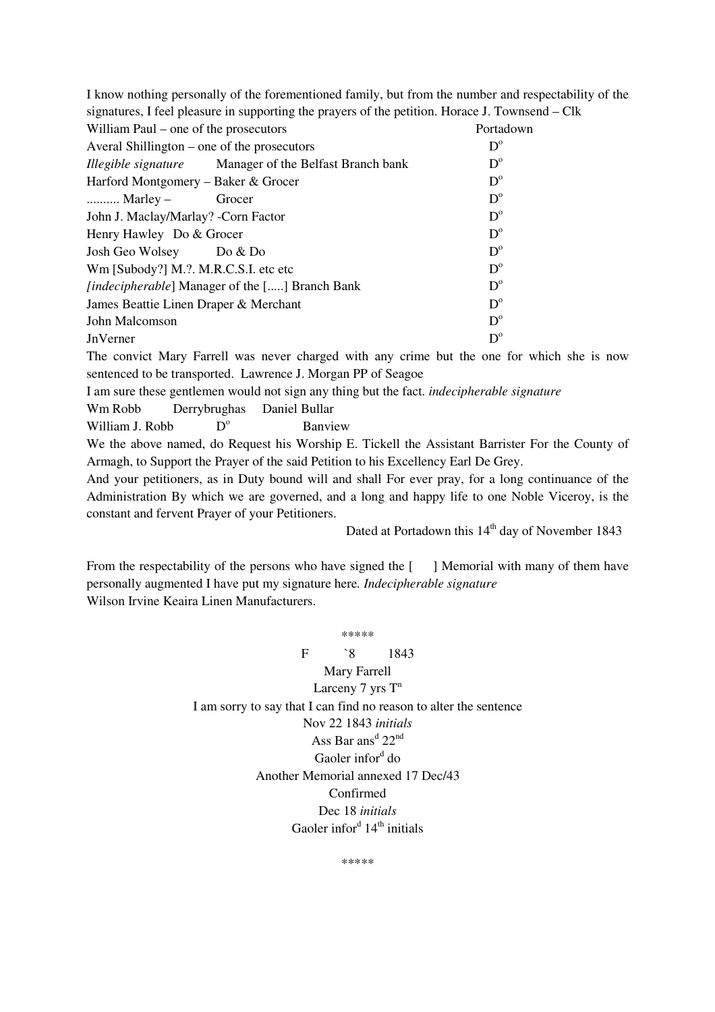| I know nothing personally of the forementioned family, but from the number and respectability of the |                                                               |             |
|------------------------------------------------------------------------------------------------------|---------------------------------------------------------------|-------------|
| signatures, I feel pleasure in supporting the prayers of the petition. Horace J. Townsend – Clk      |                                                               |             |
| William Paul – one of the prosecutors                                                                |                                                               | Portadown   |
| Averal Shillington – one of the prosecutors                                                          |                                                               | $D^{\circ}$ |
|                                                                                                      | <i>Illegible signature</i> Manager of the Belfast Branch bank | $D^{\circ}$ |
| Harford Montgomery – Baker & Grocer                                                                  |                                                               | $D^{\circ}$ |
| Marley $-$                                                                                           | Grocer                                                        | $D^{\circ}$ |
| John J. Maclay/Marlay? -Corn Factor                                                                  |                                                               | $D^{\circ}$ |
| Henry Hawley Do & Grocer                                                                             |                                                               | $D^{\circ}$ |
| Josh Geo Wolsey                                                                                      | Do & Do                                                       | $D^{\circ}$ |
| Wm [Subody?] M.?. M.R.C.S.I. etc etc                                                                 |                                                               | $D^{\circ}$ |
| <i>[indecipherable]</i> Manager of the [] Branch Bank                                                |                                                               | $D^{\circ}$ |
| James Beattie Linen Draper & Merchant                                                                |                                                               | $D^{\circ}$ |
| John Malcomson                                                                                       |                                                               | $D^{\circ}$ |
| <b>JnVerner</b>                                                                                      |                                                               | $D^{\circ}$ |
| The convict Mary Farrell was never charged with any crime but the one for which she is now           |                                                               |             |
| sentenced to be transported. Lawrence J. Morgan PP of Seagoe                                         |                                                               |             |
| I am sure these gentlemen would not sign any thing but the fact. <i>indecipherable signature</i>     |                                                               |             |
| Derrybrughas<br>Wm Robb                                                                              | Daniel Bullar                                                 |             |

William J. Robb  $D^{\circ}$ Banview

We the above named, do Request his Worship E. Tickell the Assistant Barrister For the County of Armagh, to Support the Prayer of the said Petition to his Excellency Earl De Grey.

And your petitioners, as in Duty bound will and shall For ever pray, for a long continuance of the Administration By which we are governed, and a long and happy life to one Noble Viceroy, is the constant and fervent Prayer of your Petitioners.

Dated at Portadown this  $14<sup>th</sup>$  day of November 1843

From the respectability of the persons who have signed the [ ] Memorial with many of them have personally augmented I have put my signature here*. Indecipherable signature* Wilson Irvine Keaira Linen Manufacturers.

> \*\*\*\*\* F `8 1843 Mary Farrell Larceny 7 yrs  $T^n$ I am sorry to say that I can find no reason to alter the sentence Nov 22 1843 *initials*  Ass Bar ans<sup>d</sup>  $22<sup>nd</sup>$ Gaoler infor<sup>d</sup> do Another Memorial annexed 17 Dec/43 Confirmed Dec 18 *initials* Gaoler infor<sup>d</sup>  $14<sup>th</sup>$  initials

> > \*\*\*\*\*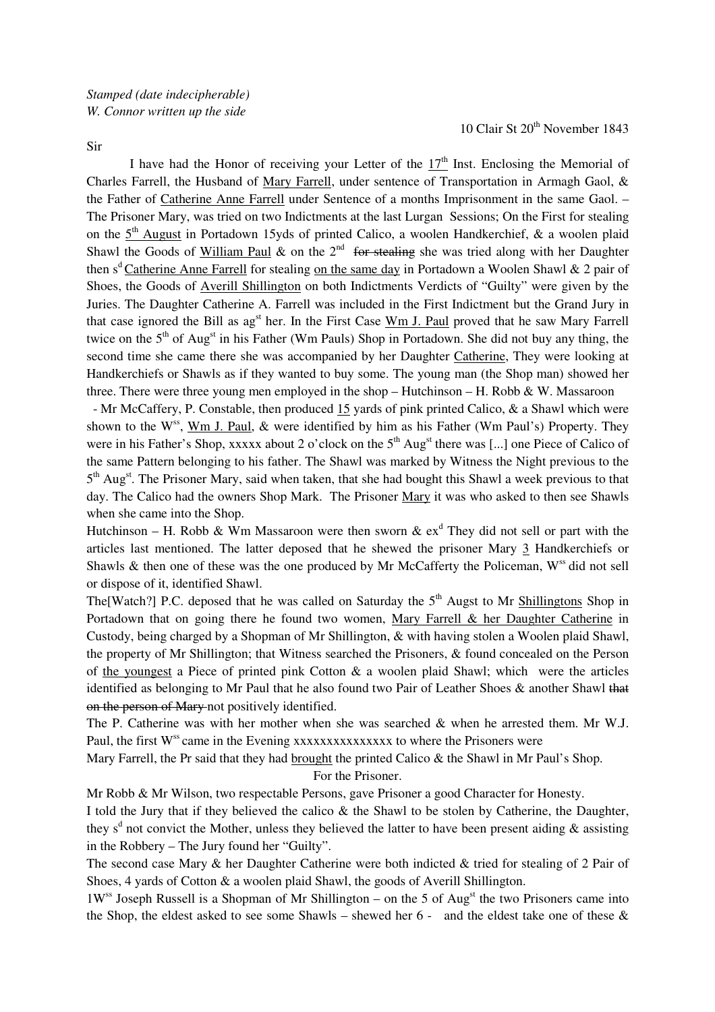Sir

10 Clair St 20<sup>th</sup> November 1843

I have had the Honor of receiving your Letter of the  $17<sup>th</sup>$  Inst. Enclosing the Memorial of Charles Farrell, the Husband of Mary Farrell, under sentence of Transportation in Armagh Gaol, & the Father of Catherine Anne Farrell under Sentence of a months Imprisonment in the same Gaol. – The Prisoner Mary, was tried on two Indictments at the last Lurgan Sessions; On the First for stealing on the  $5<sup>th</sup>$  August in Portadown 15yds of printed Calico, a woolen Handkerchief, & a woolen plaid Shawl the Goods of William Paul & on the  $2<sup>nd</sup>$  for stealing she was tried along with her Daughter then s<sup>d</sup> Catherine Anne Farrell for stealing on the same day in Portadown a Woolen Shawl & 2 pair of Shoes, the Goods of Averill Shillington on both Indictments Verdicts of "Guilty" were given by the Juries. The Daughter Catherine A. Farrell was included in the First Indictment but the Grand Jury in that case ignored the Bill as ag<sup>st</sup> her. In the First Case Wm J. Paul proved that he saw Mary Farrell twice on the  $5<sup>th</sup>$  of Aug<sup>st</sup> in his Father (Wm Pauls) Shop in Portadown. She did not buy any thing, the second time she came there she was accompanied by her Daughter Catherine, They were looking at Handkerchiefs or Shawls as if they wanted to buy some. The young man (the Shop man) showed her three. There were three young men employed in the shop – Hutchinson – H. Robb & W. Massaroon

- Mr McCaffery, P. Constable, then produced 15 yards of pink printed Calico, & a Shawl which were shown to the W<sup>ss</sup>, Wm J. Paul,  $\&$  were identified by him as his Father (Wm Paul's) Property. They were in his Father's Shop, xxxxx about 2 o'clock on the  $5<sup>th</sup>$  Aug<sup>st</sup> there was [...] one Piece of Calico of the same Pattern belonging to his father. The Shawl was marked by Witness the Night previous to the 5<sup>th</sup> Aug<sup>st</sup>. The Prisoner Mary, said when taken, that she had bought this Shawl a week previous to that day. The Calico had the owners Shop Mark. The Prisoner Mary it was who asked to then see Shawls when she came into the Shop.

Hutchinson – H. Robb & Wm Massaroon were then sworn  $\&$   $ex^d$  They did not sell or part with the articles last mentioned. The latter deposed that he shewed the prisoner Mary 3 Handkerchiefs or Shawls & then one of these was the one produced by Mr McCafferty the Policeman, W<sup>ss</sup> did not sell or dispose of it, identified Shawl.

The [Watch?] P.C. deposed that he was called on Saturday the  $5<sup>th</sup>$  Augst to Mr Shillingtons Shop in Portadown that on going there he found two women, Mary Farrell & her Daughter Catherine in Custody, being charged by a Shopman of Mr Shillington, & with having stolen a Woolen plaid Shawl, the property of Mr Shillington; that Witness searched the Prisoners, & found concealed on the Person of the youngest a Piece of printed pink Cotton & a woolen plaid Shawl; which were the articles identified as belonging to Mr Paul that he also found two Pair of Leather Shoes & another Shawl that on the person of Mary not positively identified.

The P. Catherine was with her mother when she was searched & when he arrested them. Mr W.J. Paul, the first  $W^{ss}$  came in the Evening xxxxxxxxxxxxxxxx to where the Prisoners were

Mary Farrell, the Pr said that they had brought the printed Calico & the Shawl in Mr Paul's Shop.

For the Prisoner.

Mr Robb & Mr Wilson, two respectable Persons, gave Prisoner a good Character for Honesty.

I told the Jury that if they believed the calico & the Shawl to be stolen by Catherine, the Daughter, they s<sup>d</sup> not convict the Mother, unless they believed the latter to have been present aiding  $\&$  assisting in the Robbery – The Jury found her "Guilty".

The second case Mary & her Daughter Catherine were both indicted & tried for stealing of 2 Pair of Shoes, 4 yards of Cotton & a woolen plaid Shawl, the goods of Averill Shillington.

 $1W$ <sup>ss</sup> Joseph Russell is a Shopman of Mr Shillington – on the 5 of Aug<sup>st</sup> the two Prisoners came into the Shop, the eldest asked to see some Shawls – shewed her  $6-$  and the eldest take one of these  $\&$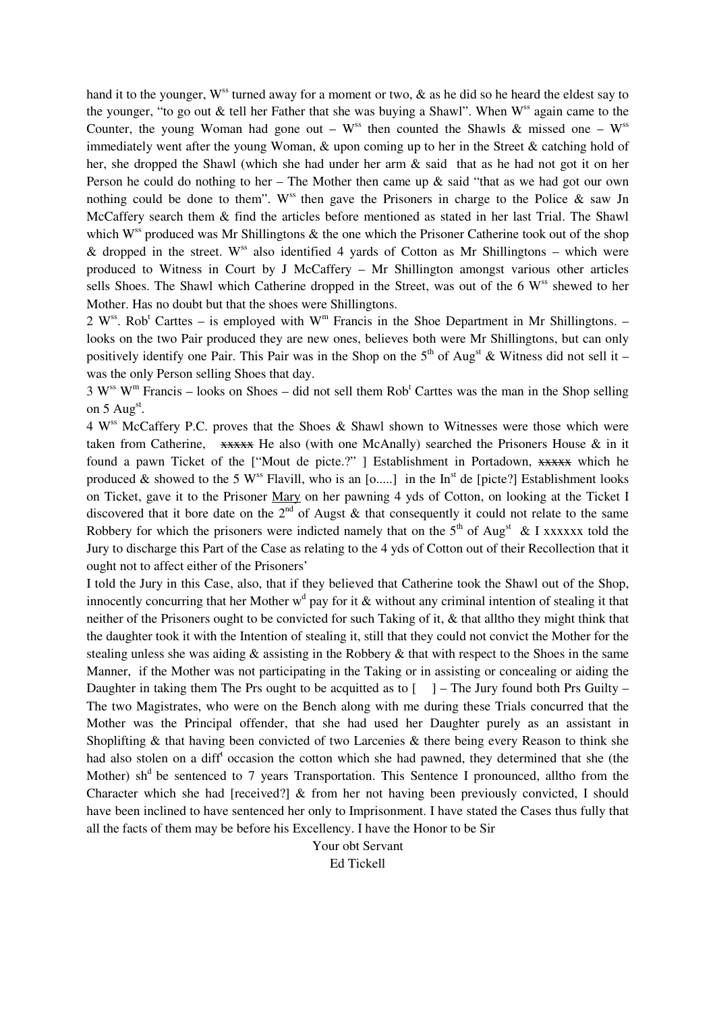hand it to the younger,  $W^{ss}$  turned away for a moment or two,  $\&$  as he did so he heard the eldest say to the younger, "to go out  $\&$  tell her Father that she was buying a Shawl". When  $W^{ss}$  again came to the Counter, the young Woman had gone out –  $W^{ss}$  then counted the Shawls & missed one –  $W^{ss}$ immediately went after the young Woman, & upon coming up to her in the Street & catching hold of her, she dropped the Shawl (which she had under her arm & said that as he had not got it on her Person he could do nothing to her – The Mother then came up  $\&$  said "that as we had got our own nothing could be done to them". W<sup>ss</sup> then gave the Prisoners in charge to the Police  $\&$  saw Jn McCaffery search them & find the articles before mentioned as stated in her last Trial. The Shawl which  $W^{ss}$  produced was Mr Shillingtons  $\&$  the one which the Prisoner Catherine took out of the shop & dropped in the street. W<sup>ss</sup> also identified 4 yards of Cotton as Mr Shillingtons – which were produced to Witness in Court by J McCaffery – Mr Shillington amongst various other articles sells Shoes. The Shawl which Catherine dropped in the Street, was out of the 6 W<sup>ss</sup> shewed to her Mother. Has no doubt but that the shoes were Shillingtons.

2 W<sup>ss</sup>. Rob<sup>t</sup> Carttes – is employed with W<sup>m</sup> Francis in the Shoe Department in Mr Shillingtons. – looks on the two Pair produced they are new ones, believes both were Mr Shillingtons, but can only positively identify one Pair. This Pair was in the Shop on the  $5<sup>th</sup>$  of Aug<sup>st</sup> & Witness did not sell it – was the only Person selling Shoes that day.

 $3 \text{ W}^{\text{ss}}$  W<sup>m</sup> Francis – looks on Shoes – did not sell them Rob<sup>t</sup> Carttes was the man in the Shop selling on  $5 \text{ Aug}^{\text{st}}$ .

4 Wss McCaffery P.C. proves that the Shoes & Shawl shown to Witnesses were those which were taken from Catherine,  $\overline{xxxx}$  He also (with one McAnally) searched the Prisoners House & in it found a pawn Ticket of the ["Mout de picte.?" ] Establishment in Portadown, xxxxx which he produced & showed to the 5 W<sup>ss</sup> Flavill, who is an  $[0, \ldots]$  in the In<sup>st</sup> de [picte?] Establishment looks on Ticket, gave it to the Prisoner Mary on her pawning 4 yds of Cotton, on looking at the Ticket I discovered that it bore date on the  $2<sup>nd</sup>$  of Augst & that consequently it could not relate to the same Robbery for which the prisoners were indicted namely that on the  $5<sup>th</sup>$  of Aug<sup>st</sup> & I xxxxxx told the Jury to discharge this Part of the Case as relating to the 4 yds of Cotton out of their Recollection that it ought not to affect either of the Prisoners'

I told the Jury in this Case, also, that if they believed that Catherine took the Shawl out of the Shop, innocently concurring that her Mother  $w<sup>d</sup>$  pay for it & without any criminal intention of stealing it that neither of the Prisoners ought to be convicted for such Taking of it, & that alltho they might think that the daughter took it with the Intention of stealing it, still that they could not convict the Mother for the stealing unless she was aiding  $\&$  assisting in the Robbery  $\&$  that with respect to the Shoes in the same Manner, if the Mother was not participating in the Taking or in assisting or concealing or aiding the Daughter in taking them The Prs ought to be acquitted as to  $\lceil \ \ \rceil$  – The Jury found both Prs Guilty – The two Magistrates, who were on the Bench along with me during these Trials concurred that the Mother was the Principal offender, that she had used her Daughter purely as an assistant in Shoplifting & that having been convicted of two Larcenies & there being every Reason to think she had also stolen on a diff<sup>t</sup> occasion the cotton which she had pawned, they determined that she (the Mother) sh<sup>d</sup> be sentenced to 7 years Transportation. This Sentence I pronounced, alltho from the Character which she had [received?] & from her not having been previously convicted, I should have been inclined to have sentenced her only to Imprisonment. I have stated the Cases thus fully that all the facts of them may be before his Excellency. I have the Honor to be Sir

> Your obt Servant Ed Tickell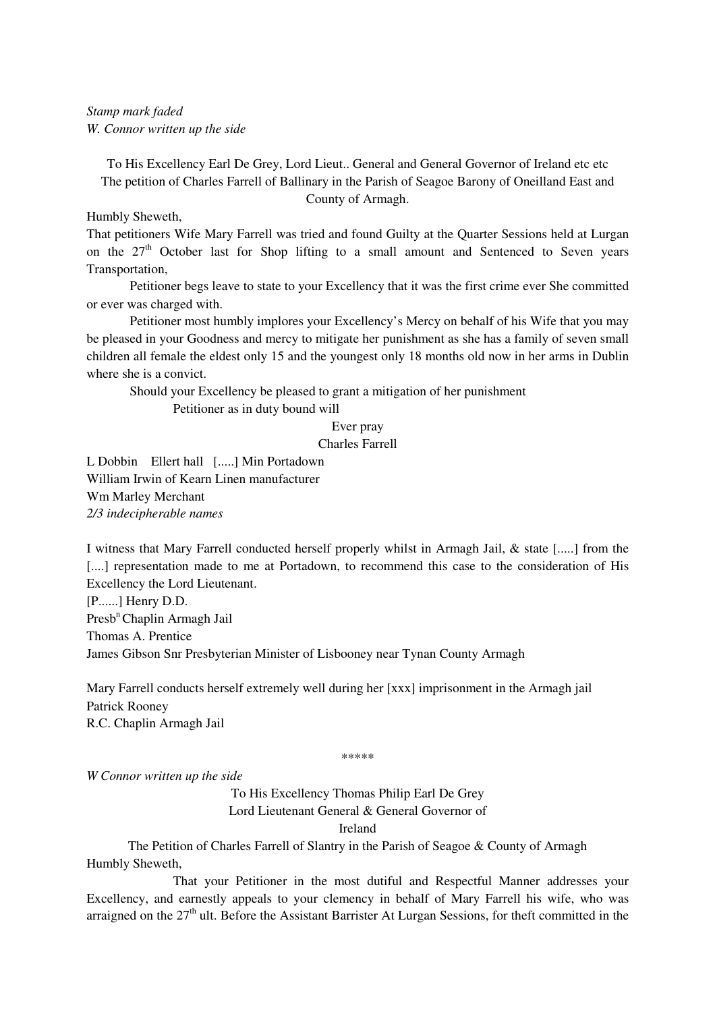*Stamp mark faded W. Connor written up the side* 

To His Excellency Earl De Grey, Lord Lieut.. General and General Governor of Ireland etc etc The petition of Charles Farrell of Ballinary in the Parish of Seagoe Barony of Oneilland East and County of Armagh.

Humbly Sheweth,

That petitioners Wife Mary Farrell was tried and found Guilty at the Quarter Sessions held at Lurgan on the 27<sup>th</sup> October last for Shop lifting to a small amount and Sentenced to Seven years Transportation,

 Petitioner begs leave to state to your Excellency that it was the first crime ever She committed or ever was charged with.

 Petitioner most humbly implores your Excellency's Mercy on behalf of his Wife that you may be pleased in your Goodness and mercy to mitigate her punishment as she has a family of seven small children all female the eldest only 15 and the youngest only 18 months old now in her arms in Dublin where she is a convict.

Should your Excellency be pleased to grant a mitigation of her punishment

Petitioner as in duty bound will

### Ever pray

Charles Farrell

L Dobbin Ellert hall [.....] Min Portadown William Irwin of Kearn Linen manufacturer Wm Marley Merchant *2/3 indecipherable names* 

I witness that Mary Farrell conducted herself properly whilst in Armagh Jail, & state [.....] from the [....] representation made to me at Portadown, to recommend this case to the consideration of His Excellency the Lord Lieutenant.

[P......] Henry D.D. Presb<sup>n</sup> Chaplin Armagh Jail Thomas A. Prentice James Gibson Snr Presbyterian Minister of Lisbooney near Tynan County Armagh

Mary Farrell conducts herself extremely well during her [xxx] imprisonment in the Armagh jail Patrick Rooney R.C. Chaplin Armagh Jail

\*\*\*\*\*

*W Connor written up the side* 

To His Excellency Thomas Philip Earl De Grey

Lord Lieutenant General & General Governor of

Ireland

The Petition of Charles Farrell of Slantry in the Parish of Seagoe & County of Armagh Humbly Sheweth,

 That your Petitioner in the most dutiful and Respectful Manner addresses your Excellency, and earnestly appeals to your clemency in behalf of Mary Farrell his wife, who was arraigned on the 27<sup>th</sup> ult. Before the Assistant Barrister At Lurgan Sessions, for theft committed in the